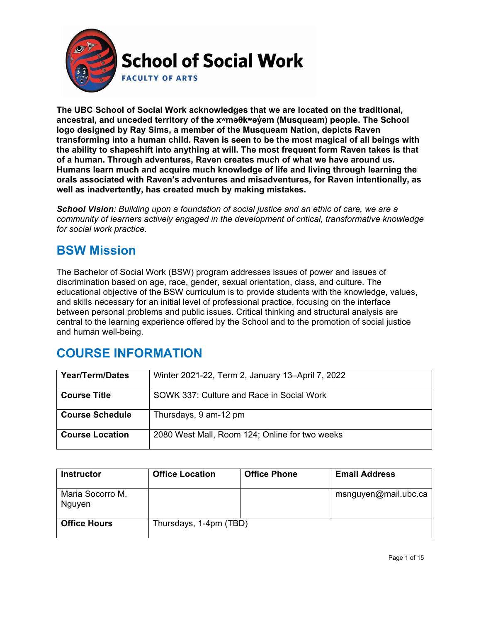

**The UBC School of Social Work acknowledges that we are located on the traditional, ancestral, and unceded territory of the [xʷməθkʷəy̓əm](http://www.musqueam.bc.ca/) (Musqueam) people. The School logo designed by Ray Sims, a member of the Musqueam Nation, depicts Raven transforming into a human child. Raven is seen to be the most magical of all beings with the ability to shapeshift into anything at will. The most frequent form Raven takes is that of a human. Through adventures, Raven creates much of what we have around us. Humans learn much and acquire much knowledge of life and living through learning the orals associated with Raven's adventures and misadventures, for Raven intentionally, as well as inadvertently, has created much by making mistakes.**

*School Vision: Building upon a foundation of social justice and an ethic of care, we are a community of learners actively engaged in the development of critical, transformative knowledge for social work practice.*

### **BSW Mission**

The Bachelor of Social Work (BSW) program addresses issues of power and issues of discrimination based on age, race, gender, sexual orientation, class, and culture. The educational objective of the BSW curriculum is to provide students with the knowledge, values, and skills necessary for an initial level of professional practice, focusing on the interface between personal problems and public issues. Critical thinking and structural analysis are central to the learning experience offered by the School and to the promotion of social justice and human well-being.

### **COURSE INFORMATION**

| <b>Year/Term/Dates</b> | Winter 2021-22, Term 2, January 13–April 7, 2022 |
|------------------------|--------------------------------------------------|
| <b>Course Title</b>    | SOWK 337: Culture and Race in Social Work        |
| <b>Course Schedule</b> | Thursdays, 9 am-12 pm                            |
| <b>Course Location</b> | 2080 West Mall, Room 124; Online for two weeks   |

| <b>Instructor</b>          | <b>Office Location</b> | <b>Office Phone</b> | <b>Email Address</b> |
|----------------------------|------------------------|---------------------|----------------------|
| Maria Socorro M.<br>Nguyen |                        |                     | msnguyen@mail.ubc.ca |
| <b>Office Hours</b>        | Thursdays, 1-4pm (TBD) |                     |                      |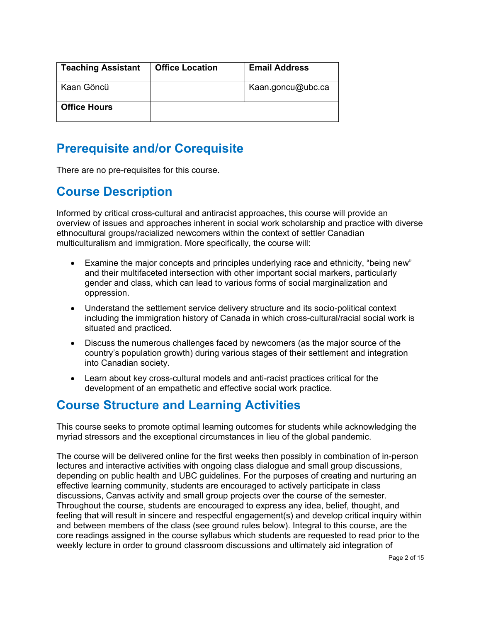| <b>Teaching Assistant</b> | <b>Office Location</b> | <b>Email Address</b> |
|---------------------------|------------------------|----------------------|
| Kaan Göncü                |                        | Kaan.goncu@ubc.ca    |
| <b>Office Hours</b>       |                        |                      |

### **Prerequisite and/or Corequisite**

There are no pre-requisites for this course.

### **Course Description**

Informed by critical cross-cultural and antiracist approaches, this course will provide an overview of issues and approaches inherent in social work scholarship and practice with diverse ethnocultural groups/racialized newcomers within the context of settler Canadian multiculturalism and immigration. More specifically, the course will:

- Examine the major concepts and principles underlying race and ethnicity, "being new" and their multifaceted intersection with other important social markers, particularly gender and class, which can lead to various forms of social marginalization and oppression.
- Understand the settlement service delivery structure and its socio-political context including the immigration history of Canada in which cross-cultural/racial social work is situated and practiced.
- Discuss the numerous challenges faced by newcomers (as the major source of the country's population growth) during various stages of their settlement and integration into Canadian society.
- Learn about key cross-cultural models and anti-racist practices critical for the development of an empathetic and effective social work practice.

### **Course Structure and Learning Activities**

This course seeks to promote optimal learning outcomes for students while acknowledging the myriad stressors and the exceptional circumstances in lieu of the global pandemic.

The course will be delivered online for the first weeks then possibly in combination of in-person lectures and interactive activities with ongoing class dialogue and small group discussions, depending on public health and UBC guidelines. For the purposes of creating and nurturing an effective learning community, students are encouraged to actively participate in class discussions, Canvas activity and small group projects over the course of the semester. Throughout the course, students are encouraged to express any idea, belief, thought, and feeling that will result in sincere and respectful engagement(s) and develop critical inquiry within and between members of the class (see ground rules below). Integral to this course, are the core readings assigned in the course syllabus which students are requested to read prior to the weekly lecture in order to ground classroom discussions and ultimately aid integration of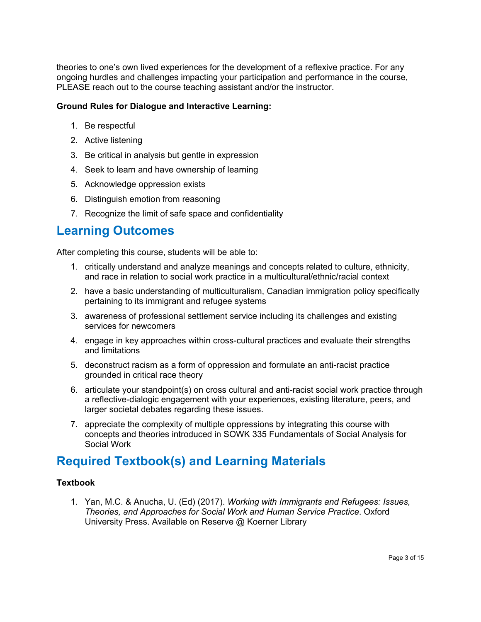theories to one's own lived experiences for the development of a reflexive practice. For any ongoing hurdles and challenges impacting your participation and performance in the course, PLEASE reach out to the course teaching assistant and/or the instructor.

#### **Ground Rules for Dialogue and Interactive Learning:**

- 1. Be respectful
- 2. Active listening
- 3. Be critical in analysis but gentle in expression
- 4. Seek to learn and have ownership of learning
- 5. Acknowledge oppression exists
- 6. Distinguish emotion from reasoning
- 7. Recognize the limit of safe space and confidentiality

#### **Learning Outcomes**

After completing this course, students will be able to:

- 1. critically understand and analyze meanings and concepts related to culture, ethnicity, and race in relation to social work practice in a multicultural/ethnic/racial context
- 2. have a basic understanding of multiculturalism, Canadian immigration policy specifically pertaining to its immigrant and refugee systems
- 3. awareness of professional settlement service including its challenges and existing services for newcomers
- 4. engage in key approaches within cross-cultural practices and evaluate their strengths and limitations
- 5. deconstruct racism as a form of oppression and formulate an anti-racist practice grounded in critical race theory
- 6. articulate your standpoint(s) on cross cultural and anti-racist social work practice through a reflective-dialogic engagement with your experiences, existing literature, peers, and larger societal debates regarding these issues.
- 7. appreciate the complexity of multiple oppressions by integrating this course with concepts and theories introduced in SOWK 335 Fundamentals of Social Analysis for Social Work

#### **Required Textbook(s) and Learning Materials**

#### **Textbook**

1. Yan, M.C. & Anucha, U. (Ed) (2017). *Working with Immigrants and Refugees: Issues, Theories, and Approaches for Social Work and Human Service Practice*. Oxford University Press. Available on Reserve @ Koerner Library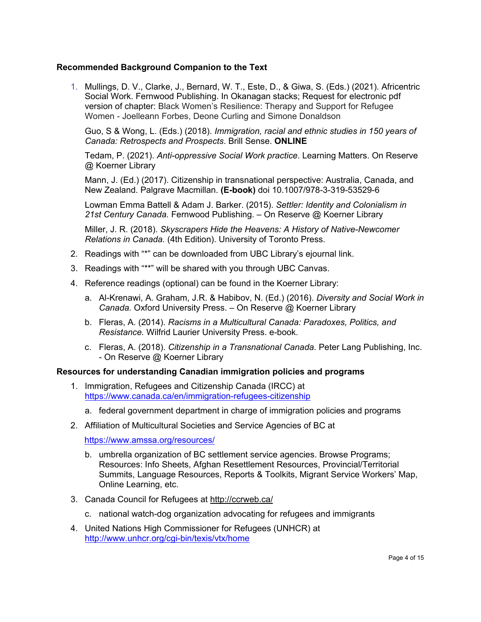#### **Recommended Background Companion to the Text**

1. Mullings, D. V., Clarke, J., Bernard, W. T., Este, D., & Giwa, S. (Eds.) (2021). Africentric Social Work. Fernwood Publishing. In Okanagan stacks; Request for electronic pdf version of chapter: Black Women's Resilience: Therapy and Support for Refugee Women - Joelleann Forbes, Deone Curling and Simone Donaldson

Guo, S & Wong, L. (Eds.) (2018). *Immigration, racial and ethnic studies in 150 years of Canada: Retrospects and Prospects*. Brill Sense. **ONLINE**

Tedam, P. (2021). *Anti-oppressive Social Work practice*. Learning Matters. On Reserve @ Koerner Library

Mann, J. (Ed.) (2017). Citizenship in transnational perspective: Australia, Canada, and New Zealand. Palgrave Macmillan. **(E-book)** doi 10.1007/978-3-319-53529-6

Lowman Emma Battell & Adam J. Barker. (2015). *Settler: Identity and Colonialism in 21st Century Canada.* Fernwood Publishing. – On Reserve @ Koerner Library

Miller, J. R. (2018). *Skyscrapers Hide the Heavens: A History of Native-Newcomer Relations in Canada.* (4th Edition). University of Toronto Press.

- 2. Readings with "\*" can be downloaded from UBC Library's ejournal link.
- 3. Readings with "\*\*" will be shared with you through UBC Canvas.
- 4. Reference readings (optional) can be found in the Koerner Library:
	- a. Al-Krenawi, A. Graham, J.R. & Habibov, N. (Ed.) (2016). *Diversity and Social Work in Canada.* Oxford University Press. – On Reserve @ Koerner Library
	- b. Fleras, A. (2014). *Racisms in a Multicultural Canada: Paradoxes, Politics, and Resistance.* Wilfrid Laurier University Press. e-book.
	- c. Fleras, A. (2018). *Citizenship in a Transnational Canada*. Peter Lang Publishing, Inc. - On Reserve @ Koerner Library

#### **Resources for understanding Canadian immigration policies and programs**

- 1. Immigration, Refugees and Citizenship Canada (IRCC) at <https://www.canada.ca/en/immigration-refugees-citizenship>
	- a. federal government department in charge of immigration policies and programs
- 2. Affiliation of Multicultural Societies and Service Agencies of BC at

<https://www.amssa.org/resources/>

- b. umbrella organization of BC settlement service agencies. Browse Programs; Resources: Info Sheets, Afghan Resettlement Resources, Provincial/Territorial Summits, Language Resources, Reports & Toolkits, Migrant Service Workers' Map, Online Learning, etc.
- 3. Canada Council for Refugees at<http://ccrweb.ca/>
	- c. national watch-dog organization advocating for refugees and immigrants
- 4. United Nations High Commissioner for Refugees (UNHCR) at <http://www.unhcr.org/cgi-bin/texis/vtx/home>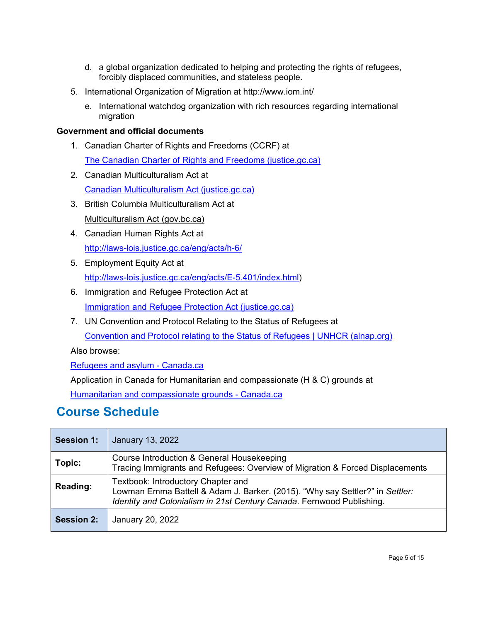- d. a global organization dedicated to helping and protecting the rights of refugees, forcibly displaced communities, and stateless people.
- 5. International Organization of Migration at<http://www.iom.int/>
	- e. International watchdog organization with rich resources regarding international migration

#### **Government and official documents**

- 1. Canadian Charter of Rights and Freedoms (CCRF) at [The Canadian Charter of Rights and Freedoms \(justice.gc.ca\)](https://www.justice.gc.ca/eng/csj-sjc/rfc-dlc/ccrf-ccdl/)
- 2. Canadian Multiculturalism Act at [Canadian Multiculturalism Act \(justice.gc.ca\)](https://laws-lois.justice.gc.ca/eng/acts/C-18.7/index.html)
- 3. British Columbia Multiculturalism Act at [Multiculturalism Act \(gov.bc.ca\)](https://www.bclaws.gov.bc.ca/civix/document/id/complete/statreg/00_96321_01)
- 4. Canadian Human Rights Act at <http://laws-lois.justice.gc.ca/eng/acts/h-6/>
- 5. Employment Equity Act at [http://laws-lois.justice.gc.ca/eng/acts/E-5.401/index.html\)](http://laws-lois.justice.gc.ca/eng/acts/E-5.401/index.html)
- 6. Immigration and Refugee Protection Act at [Immigration and Refugee Protection Act \(justice.gc.ca\)](https://laws-lois.justice.gc.ca/eng/acts/I-2.5/page-1.html)
- 7. UN Convention and Protocol Relating to the Status of Refugees at [Convention and Protocol relating to the Status of Refugees | UNHCR \(alnap.org\)](https://targeting.alnap.org/help-library/convention-and-protocol-relating-to-the-status-of-refugees)

Also browse:

[Refugees and asylum -](https://www.canada.ca/en/immigration-refugees-citizenship/services/refugees.html) Canada.ca

Application in Canada for Humanitarian and compassionate (H & C) grounds at

[Humanitarian and compassionate grounds -](https://www.canada.ca/en/immigration-refugees-citizenship/services/refugees/claim-protection-inside-canada/after-apply-next-steps/refusal-options/humanitarian-compassionate-grounds.html) Canada.ca

#### **Course Schedule**

| <b>Session 1:</b> | <b>January 13, 2022</b>                                                                                                                                                                     |
|-------------------|---------------------------------------------------------------------------------------------------------------------------------------------------------------------------------------------|
| Topic:            | Course Introduction & General Housekeeping<br>Tracing Immigrants and Refugees: Overview of Migration & Forced Displacements                                                                 |
| Reading:          | Textbook: Introductory Chapter and<br>Lowman Emma Battell & Adam J. Barker. (2015). "Why say Settler?" in Settler:<br>Identity and Colonialism in 21st Century Canada. Fernwood Publishing. |
| <b>Session 2:</b> | January 20, 2022                                                                                                                                                                            |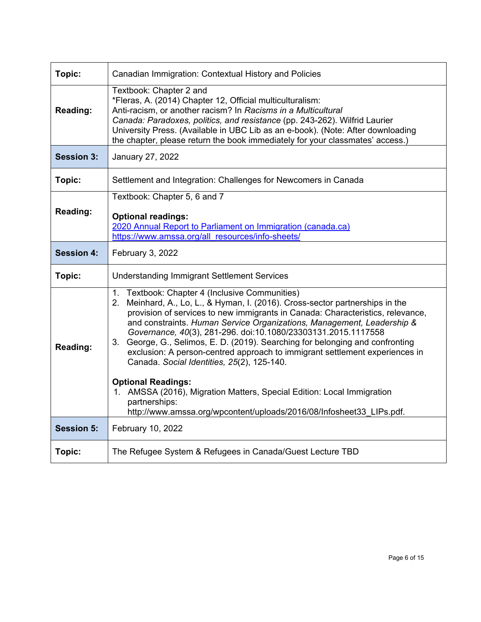| Topic:            | Canadian Immigration: Contextual History and Policies                                                                                                                                                                                                                                                                                                                                                                                                                                                                                                                                                                                                                                              |  |  |
|-------------------|----------------------------------------------------------------------------------------------------------------------------------------------------------------------------------------------------------------------------------------------------------------------------------------------------------------------------------------------------------------------------------------------------------------------------------------------------------------------------------------------------------------------------------------------------------------------------------------------------------------------------------------------------------------------------------------------------|--|--|
| <b>Reading:</b>   | Textbook: Chapter 2 and<br>*Fleras, A. (2014) Chapter 12, Official multiculturalism:<br>Anti-racism, or another racism? In Racisms in a Multicultural<br>Canada: Paradoxes, politics, and resistance (pp. 243-262). Wilfrid Laurier<br>University Press. (Available in UBC Lib as an e-book). (Note: After downloading<br>the chapter, please return the book immediately for your classmates' access.)                                                                                                                                                                                                                                                                                            |  |  |
| <b>Session 3:</b> | January 27, 2022                                                                                                                                                                                                                                                                                                                                                                                                                                                                                                                                                                                                                                                                                   |  |  |
| Topic:            | Settlement and Integration: Challenges for Newcomers in Canada                                                                                                                                                                                                                                                                                                                                                                                                                                                                                                                                                                                                                                     |  |  |
| <b>Reading:</b>   | Textbook: Chapter 5, 6 and 7<br><b>Optional readings:</b><br>2020 Annual Report to Parliament on Immigration (canada.ca)<br>https://www.amssa.org/all resources/info-sheets/                                                                                                                                                                                                                                                                                                                                                                                                                                                                                                                       |  |  |
| <b>Session 4:</b> | February 3, 2022                                                                                                                                                                                                                                                                                                                                                                                                                                                                                                                                                                                                                                                                                   |  |  |
| Topic:            | <b>Understanding Immigrant Settlement Services</b>                                                                                                                                                                                                                                                                                                                                                                                                                                                                                                                                                                                                                                                 |  |  |
| <b>Reading:</b>   | 1. Textbook: Chapter 4 (Inclusive Communities)<br>2. Meinhard, A., Lo, L., & Hyman, I. (2016). Cross-sector partnerships in the<br>provision of services to new immigrants in Canada: Characteristics, relevance,<br>and constraints. Human Service Organizations, Management, Leadership &<br>Governance, 40(3), 281-296. doi:10.1080/23303131.2015.1117558<br>3. George, G., Selimos, E. D. (2019). Searching for belonging and confronting<br>exclusion: A person-centred approach to immigrant settlement experiences in<br>Canada. Social Identities, 25(2), 125-140.<br><b>Optional Readings:</b><br>1. AMSSA (2016), Migration Matters, Special Edition: Local Immigration<br>partnerships: |  |  |
|                   | http://www.amssa.org/wpcontent/uploads/2016/08/Infosheet33_LIPs.pdf.                                                                                                                                                                                                                                                                                                                                                                                                                                                                                                                                                                                                                               |  |  |
| <b>Session 5:</b> | February 10, 2022                                                                                                                                                                                                                                                                                                                                                                                                                                                                                                                                                                                                                                                                                  |  |  |
| Topic:            | The Refugee System & Refugees in Canada/Guest Lecture TBD                                                                                                                                                                                                                                                                                                                                                                                                                                                                                                                                                                                                                                          |  |  |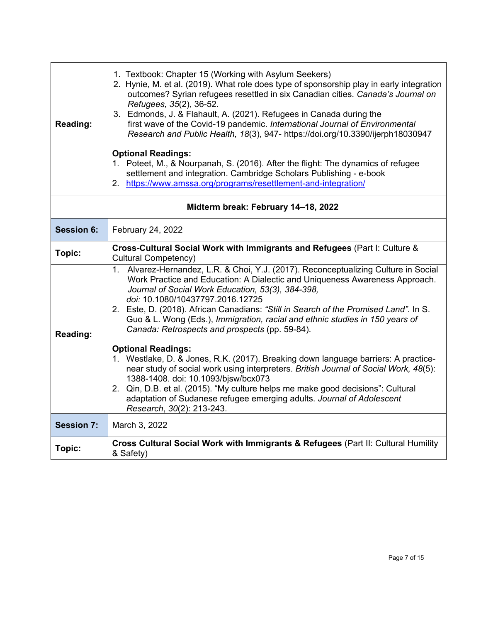| <b>Reading:</b>                     | 1. Textbook: Chapter 15 (Working with Asylum Seekers)<br>2. Hynie, M. et al. (2019). What role does type of sponsorship play in early integration<br>outcomes? Syrian refugees resettled in six Canadian cities. Canada's Journal on<br>Refugees, 35(2), 36-52.<br>3. Edmonds, J. & Flahault, A. (2021). Refugees in Canada during the<br>first wave of the Covid-19 pandemic. International Journal of Environmental<br>Research and Public Health, 18(3), 947- https://doi.org/10.3390/ijerph18030947<br><b>Optional Readings:</b><br>1. Poteet, M., & Nourpanah, S. (2016). After the flight: The dynamics of refugee<br>settlement and integration. Cambridge Scholars Publishing - e-book<br>2. https://www.amssa.org/programs/resettlement-and-integration/ |  |  |
|-------------------------------------|-------------------------------------------------------------------------------------------------------------------------------------------------------------------------------------------------------------------------------------------------------------------------------------------------------------------------------------------------------------------------------------------------------------------------------------------------------------------------------------------------------------------------------------------------------------------------------------------------------------------------------------------------------------------------------------------------------------------------------------------------------------------|--|--|
| Midterm break: February 14-18, 2022 |                                                                                                                                                                                                                                                                                                                                                                                                                                                                                                                                                                                                                                                                                                                                                                   |  |  |
| <b>Session 6:</b>                   | February 24, 2022                                                                                                                                                                                                                                                                                                                                                                                                                                                                                                                                                                                                                                                                                                                                                 |  |  |
| Topic:                              | Cross-Cultural Social Work with Immigrants and Refugees (Part I: Culture &<br>Cultural Competency)                                                                                                                                                                                                                                                                                                                                                                                                                                                                                                                                                                                                                                                                |  |  |
| <b>Reading:</b>                     | Alvarez-Hernandez, L.R. & Choi, Y.J. (2017). Reconceptualizing Culture in Social<br>1.<br>Work Practice and Education: A Dialectic and Uniqueness Awareness Approach.<br>Journal of Social Work Education, 53(3), 384-398,<br>doi: 10.1080/10437797.2016.12725<br>2. Este, D. (2018). African Canadians: "Still in Search of the Promised Land". In S.<br>Guo & L. Wong (Eds.), Immigration, racial and ethnic studies in 150 years of<br>Canada: Retrospects and prospects (pp. 59-84).                                                                                                                                                                                                                                                                          |  |  |
|                                     | <b>Optional Readings:</b><br>1. Westlake, D. & Jones, R.K. (2017). Breaking down language barriers: A practice-<br>near study of social work using interpreters. British Journal of Social Work, 48(5):<br>1388-1408. doi: 10.1093/bjsw/bcx073<br>2. Qin, D.B. et al. (2015). "My culture helps me make good decisions": Cultural<br>adaptation of Sudanese refugee emerging adults. Journal of Adolescent<br>Research, 30(2): 213-243.                                                                                                                                                                                                                                                                                                                           |  |  |
| <b>Session 7:</b>                   | March 3, 2022                                                                                                                                                                                                                                                                                                                                                                                                                                                                                                                                                                                                                                                                                                                                                     |  |  |
| Topic:                              | Cross Cultural Social Work with Immigrants & Refugees (Part II: Cultural Humility<br>& Safety)                                                                                                                                                                                                                                                                                                                                                                                                                                                                                                                                                                                                                                                                    |  |  |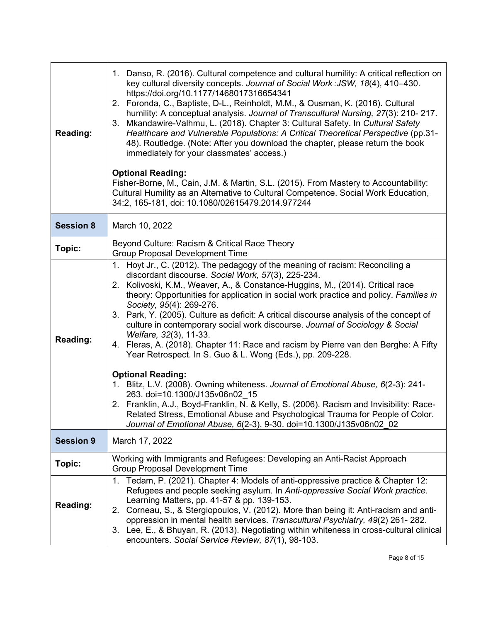| <b>Reading:</b>  | 1. Danso, R. (2016). Cultural competence and cultural humility: A critical reflection on<br>key cultural diversity concepts. Journal of Social Work: JSW, 18(4), 410-430.<br>https://doi.org/10.1177/1468017316654341<br>2. Foronda, C., Baptiste, D-L., Reinholdt, M.M., & Ousman, K. (2016). Cultural<br>humility: A conceptual analysis. Journal of Transcultural Nursing, 27(3): 210-217.<br>Mkandawire-Valhmu, L. (2018). Chapter 3: Cultural Safety. In Cultural Safety<br>3.<br>Healthcare and Vulnerable Populations: A Critical Theoretical Perspective (pp.31-<br>48). Routledge. (Note: After you download the chapter, please return the book<br>immediately for your classmates' access.)<br><b>Optional Reading:</b><br>Fisher-Borne, M., Cain, J.M. & Martin, S.L. (2015). From Mastery to Accountability:<br>Cultural Humility as an Alternative to Cultural Competence. Social Work Education,<br>34:2, 165-181, doi: 10.1080/02615479.2014.977244                                                                                                                                      |  |
|------------------|----------------------------------------------------------------------------------------------------------------------------------------------------------------------------------------------------------------------------------------------------------------------------------------------------------------------------------------------------------------------------------------------------------------------------------------------------------------------------------------------------------------------------------------------------------------------------------------------------------------------------------------------------------------------------------------------------------------------------------------------------------------------------------------------------------------------------------------------------------------------------------------------------------------------------------------------------------------------------------------------------------------------------------------------------------------------------------------------------------|--|
| <b>Session 8</b> | March 10, 2022                                                                                                                                                                                                                                                                                                                                                                                                                                                                                                                                                                                                                                                                                                                                                                                                                                                                                                                                                                                                                                                                                           |  |
| Topic:           | Beyond Culture: Racism & Critical Race Theory<br><b>Group Proposal Development Time</b>                                                                                                                                                                                                                                                                                                                                                                                                                                                                                                                                                                                                                                                                                                                                                                                                                                                                                                                                                                                                                  |  |
| <b>Reading:</b>  | 1. Hoyt Jr., C. (2012). The pedagogy of the meaning of racism: Reconciling a<br>discordant discourse. Social Work, 57(3), 225-234.<br>2. Kolivoski, K.M., Weaver, A., & Constance-Huggins, M., (2014). Critical race<br>theory: Opportunities for application in social work practice and policy. Families in<br>Society, 95(4): 269-276.<br>3. Park, Y. (2005). Culture as deficit: A critical discourse analysis of the concept of<br>culture in contemporary social work discourse. Journal of Sociology & Social<br>Welfare, 32(3), 11-33.<br>4. Fleras, A. (2018). Chapter 11: Race and racism by Pierre van den Berghe: A Fifty<br>Year Retrospect. In S. Guo & L. Wong (Eds.), pp. 209-228.<br><b>Optional Reading:</b><br>1. Blitz, L.V. (2008). Owning whiteness. Journal of Emotional Abuse, 6(2-3): 241-<br>263. doi=10.1300/J135v06n02_15<br>2. Franklin, A.J., Boyd-Franklin, N. & Kelly, S. (2006). Racism and Invisibility: Race-<br>Related Stress, Emotional Abuse and Psychological Trauma for People of Color.<br>Journal of Emotional Abuse, 6(2-3), 9-30. doi=10.1300/J135v06n02 02 |  |
| <b>Session 9</b> | March 17, 2022                                                                                                                                                                                                                                                                                                                                                                                                                                                                                                                                                                                                                                                                                                                                                                                                                                                                                                                                                                                                                                                                                           |  |
| Topic:           | Working with Immigrants and Refugees: Developing an Anti-Racist Approach<br><b>Group Proposal Development Time</b>                                                                                                                                                                                                                                                                                                                                                                                                                                                                                                                                                                                                                                                                                                                                                                                                                                                                                                                                                                                       |  |
| <b>Reading:</b>  | 1. Tedam, P. (2021). Chapter 4: Models of anti-oppressive practice & Chapter 12:<br>Refugees and people seeking asylum. In Anti-oppressive Social Work practice.<br>Learning Matters, pp. 41-57 & pp. 139-153.<br>2. Corneau, S., & Stergiopoulos, V. (2012). More than being it: Anti-racism and anti-<br>oppression in mental health services. Transcultural Psychiatry, 49(2) 261-282.<br>3. Lee, E., & Bhuyan, R. (2013). Negotiating within whiteness in cross-cultural clinical<br>encounters. Social Service Review, 87(1), 98-103.                                                                                                                                                                                                                                                                                                                                                                                                                                                                                                                                                               |  |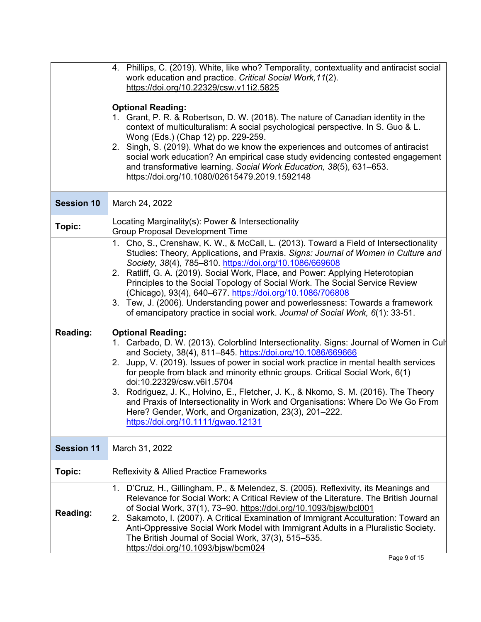|                   | 4. Phillips, C. (2019). White, like who? Temporality, contextuality and antiracist social<br>work education and practice. Critical Social Work, 11(2).<br>https://doi.org/10.22329/csw.v11i2.5825<br><b>Optional Reading:</b><br>1. Grant, P. R. & Robertson, D. W. (2018). The nature of Canadian identity in the<br>context of multiculturalism: A social psychological perspective. In S. Guo & L.<br>Wong (Eds.) (Chap 12) pp. 229-259.<br>2. Singh, S. (2019). What do we know the experiences and outcomes of antiracist<br>social work education? An empirical case study evidencing contested engagement<br>and transformative learning. Social Work Education, 38(5), 631-653.<br>https://doi.org/10.1080/02615479.2019.1592148                                                                                                                                                                                                                                                                                                                                                                                                                                                                                                                                                                       |  |  |
|-------------------|----------------------------------------------------------------------------------------------------------------------------------------------------------------------------------------------------------------------------------------------------------------------------------------------------------------------------------------------------------------------------------------------------------------------------------------------------------------------------------------------------------------------------------------------------------------------------------------------------------------------------------------------------------------------------------------------------------------------------------------------------------------------------------------------------------------------------------------------------------------------------------------------------------------------------------------------------------------------------------------------------------------------------------------------------------------------------------------------------------------------------------------------------------------------------------------------------------------------------------------------------------------------------------------------------------------|--|--|
| <b>Session 10</b> | March 24, 2022                                                                                                                                                                                                                                                                                                                                                                                                                                                                                                                                                                                                                                                                                                                                                                                                                                                                                                                                                                                                                                                                                                                                                                                                                                                                                                 |  |  |
| Topic:            | Locating Marginality(s): Power & Intersectionality<br><b>Group Proposal Development Time</b>                                                                                                                                                                                                                                                                                                                                                                                                                                                                                                                                                                                                                                                                                                                                                                                                                                                                                                                                                                                                                                                                                                                                                                                                                   |  |  |
| <b>Reading:</b>   | 1. Cho, S., Crenshaw, K. W., & McCall, L. (2013). Toward a Field of Intersectionality<br>Studies: Theory, Applications, and Praxis. Signs: Journal of Women in Culture and<br>Society, 38(4), 785-810. https://doi.org/10.1086/669608<br>2. Ratliff, G. A. (2019). Social Work, Place, and Power: Applying Heterotopian<br>Principles to the Social Topology of Social Work. The Social Service Review<br>(Chicago), 93(4), 640-677. https://doi.org/10.1086/706808<br>3. Tew, J. (2006). Understanding power and powerlessness: Towards a framework<br>of emancipatory practice in social work. Journal of Social Work, 6(1): 33-51.<br><b>Optional Reading:</b><br>1. Carbado, D. W. (2013). Colorblind Intersectionality. Signs: Journal of Women in Cult<br>and Society, 38(4), 811-845. https://doi.org/10.1086/669666<br>Jupp, V. (2019). Issues of power in social work practice in mental health services<br>2.<br>for people from black and minority ethnic groups. Critical Social Work, 6(1)<br>doi:10.22329/csw.v6i1.5704<br>3. Rodriguez, J. K., Holvino, E., Fletcher, J. K., & Nkomo, S. M. (2016). The Theory<br>and Praxis of Intersectionality in Work and Organisations: Where Do We Go From<br>Here? Gender, Work, and Organization, 23(3), 201-222.<br>https://doi.org/10.1111/gwao.12131 |  |  |
| <b>Session 11</b> | March 31, 2022                                                                                                                                                                                                                                                                                                                                                                                                                                                                                                                                                                                                                                                                                                                                                                                                                                                                                                                                                                                                                                                                                                                                                                                                                                                                                                 |  |  |
| Topic:            | <b>Reflexivity &amp; Allied Practice Frameworks</b>                                                                                                                                                                                                                                                                                                                                                                                                                                                                                                                                                                                                                                                                                                                                                                                                                                                                                                                                                                                                                                                                                                                                                                                                                                                            |  |  |
| <b>Reading:</b>   | 1. D'Cruz, H., Gillingham, P., & Melendez, S. (2005). Reflexivity, its Meanings and<br>Relevance for Social Work: A Critical Review of the Literature. The British Journal<br>of Social Work, 37(1), 73-90. https://doi.org/10.1093/bjsw/bcl001<br>2. Sakamoto, I. (2007). A Critical Examination of Immigrant Acculturation: Toward an<br>Anti-Oppressive Social Work Model with Immigrant Adults in a Pluralistic Society.<br>The British Journal of Social Work, 37(3), 515–535.<br>https://doi.org/10.1093/bjsw/bcm024                                                                                                                                                                                                                                                                                                                                                                                                                                                                                                                                                                                                                                                                                                                                                                                     |  |  |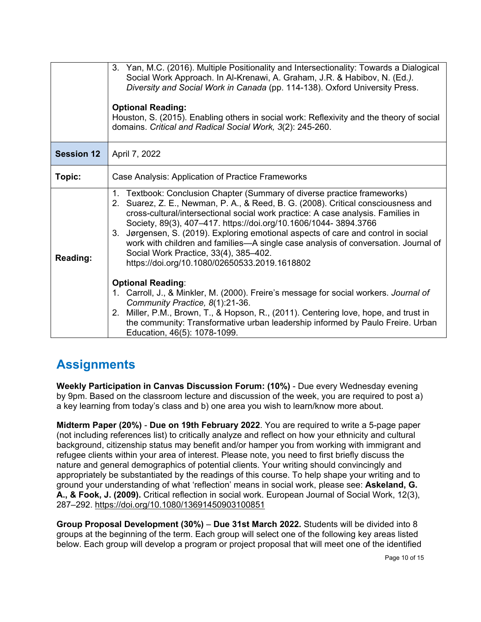|                   | Diversity and Social Work in Canada (pp. 114-138). Oxford University Press.<br><b>Optional Reading:</b><br>Houston, S. (2015). Enabling others in social work: Reflexivity and the theory of social<br>domains. Critical and Radical Social Work, 3(2): 245-260.                                                                                                                                                                                                                                                                                                                                                                                                                                                                                                                                                                                                                                                             |  |  |
|-------------------|------------------------------------------------------------------------------------------------------------------------------------------------------------------------------------------------------------------------------------------------------------------------------------------------------------------------------------------------------------------------------------------------------------------------------------------------------------------------------------------------------------------------------------------------------------------------------------------------------------------------------------------------------------------------------------------------------------------------------------------------------------------------------------------------------------------------------------------------------------------------------------------------------------------------------|--|--|
| <b>Session 12</b> | April 7, 2022                                                                                                                                                                                                                                                                                                                                                                                                                                                                                                                                                                                                                                                                                                                                                                                                                                                                                                                |  |  |
| Topic:            | Case Analysis: Application of Practice Frameworks                                                                                                                                                                                                                                                                                                                                                                                                                                                                                                                                                                                                                                                                                                                                                                                                                                                                            |  |  |
| <b>Reading:</b>   | 1. Textbook: Conclusion Chapter (Summary of diverse practice frameworks)<br>2. Suarez, Z. E., Newman, P. A., & Reed, B. G. (2008). Critical consciousness and<br>cross-cultural/intersectional social work practice: A case analysis. Families in<br>Society, 89(3), 407-417. https://doi.org/10.1606/1044-3894.3766<br>3. Jørgensen, S. (2019). Exploring emotional aspects of care and control in social<br>work with children and families-A single case analysis of conversation. Journal of<br>Social Work Practice, 33(4), 385-402.<br>https://doi.org/10.1080/02650533.2019.1618802<br><b>Optional Reading:</b><br>1. Carroll, J., & Minkler, M. (2000). Freire's message for social workers. Journal of<br>Community Practice, 8(1):21-36.<br>2. Miller, P.M., Brown, T., & Hopson, R., (2011). Centering love, hope, and trust in<br>the community: Transformative urban leadership informed by Paulo Freire. Urban |  |  |

### **Assignments**

**Weekly Participation in Canvas Discussion Forum: (10%)** - Due every Wednesday evening by 9pm. Based on the classroom lecture and discussion of the week, you are required to post a) a key learning from today's class and b) one area you wish to learn/know more about.

**Midterm Paper (20%)** - **Due on 19th February 2022**. You are required to write a 5-page paper (not including references list) to critically analyze and reflect on how your ethnicity and cultural background, citizenship status may benefit and/or hamper you from working with immigrant and refugee clients within your area of interest. Please note, you need to first briefly discuss the nature and general demographics of potential clients. Your writing should convincingly and appropriately be substantiated by the readings of this course. To help shape your writing and to ground your understanding of what 'reflection' means in social work, please see: **Askeland, G. A., & Fook, J. (2009).** Critical reflection in social work. European Journal of Social Work, 12(3), 287–292.<https://doi.org/10.1080/13691450903100851>

**Group Proposal Development (30%)** – **Due 31st March 2022.** Students will be divided into 8 groups at the beginning of the term. Each group will select one of the following key areas listed below. Each group will develop a program or project proposal that will meet one of the identified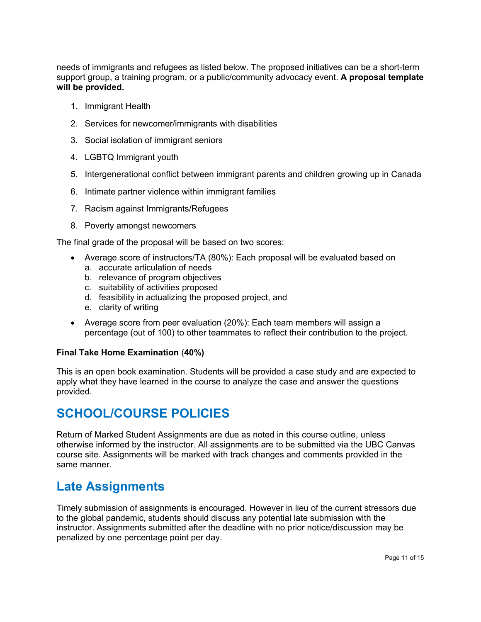needs of immigrants and refugees as listed below. The proposed initiatives can be a short-term support group, a training program, or a public/community advocacy event. **A proposal template will be provided.**

- 1. Immigrant Health
- 2. Services for newcomer/immigrants with disabilities
- 3. Social isolation of immigrant seniors
- 4. LGBTQ Immigrant youth
- 5. Intergenerational conflict between immigrant parents and children growing up in Canada
- 6. Intimate partner violence within immigrant families
- 7. Racism against Immigrants/Refugees
- 8. Poverty amongst newcomers

The final grade of the proposal will be based on two scores:

- Average score of instructors/TA (80%): Each proposal will be evaluated based on
	- a. accurate articulation of needs
	- b. relevance of program objectives
	- c. suitability of activities proposed
	- d. feasibility in actualizing the proposed project, and
	- e. clarity of writing
- Average score from peer evaluation (20%): Each team members will assign a percentage (out of 100) to other teammates to reflect their contribution to the project.

#### **Final Take Home Examination** (**40%)**

This is an open book examination. Students will be provided a case study and are expected to apply what they have learned in the course to analyze the case and answer the questions provided.

#### **SCHOOL/COURSE POLICIES**

Return of Marked Student Assignments are due as noted in this course outline, unless otherwise informed by the instructor. All assignments are to be submitted via the UBC Canvas course site. Assignments will be marked with track changes and comments provided in the same manner.

### **Late Assignments**

Timely submission of assignments is encouraged. However in lieu of the current stressors due to the global pandemic, students should discuss any potential late submission with the instructor. Assignments submitted after the deadline with no prior notice/discussion may be penalized by one percentage point per day.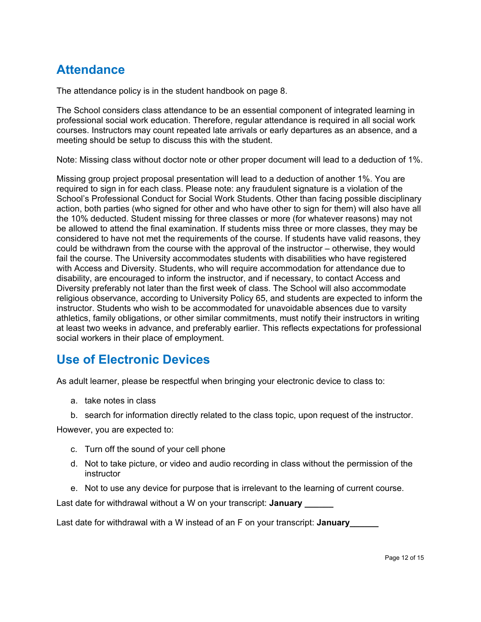## **Attendance**

The attendance policy is in the student handbook on page 8.

The School considers class attendance to be an essential component of integrated learning in professional social work education. Therefore, regular attendance is required in all social work courses. Instructors may count repeated late arrivals or early departures as an absence, and a meeting should be setup to discuss this with the student.

Note: Missing class without doctor note or other proper document will lead to a deduction of 1%.

Missing group project proposal presentation will lead to a deduction of another 1%. You are required to sign in for each class. Please note: any fraudulent signature is a violation of the School's Professional Conduct for Social Work Students. Other than facing possible disciplinary action, both parties (who signed for other and who have other to sign for them) will also have all the 10% deducted. Student missing for three classes or more (for whatever reasons) may not be allowed to attend the final examination. If students miss three or more classes, they may be considered to have not met the requirements of the course. If students have valid reasons, they could be withdrawn from the course with the approval of the instructor – otherwise, they would fail the course. The University accommodates students with disabilities who have registered with Access and Diversity. Students, who will require accommodation for attendance due to disability, are encouraged to inform the instructor, and if necessary, to contact Access and Diversity preferably not later than the first week of class. The School will also accommodate religious observance, according to University Policy 65, and students are expected to inform the instructor. Students who wish to be accommodated for unavoidable absences due to varsity athletics, family obligations, or other similar commitments, must notify their instructors in writing at least two weeks in advance, and preferably earlier. This reflects expectations for professional social workers in their place of employment.

### **Use of Electronic Devices**

As adult learner, please be respectful when bringing your electronic device to class to:

- a. take notes in class
- b. search for information directly related to the class topic, upon request of the instructor.

However, you are expected to:

- c. Turn off the sound of your cell phone
- d. Not to take picture, or video and audio recording in class without the permission of the instructor
- e. Not to use any device for purpose that is irrelevant to the learning of current course.

Last date for withdrawal without a W on your transcript: **January** 

Last date for withdrawal with a W instead of an F on your transcript: **January\_\_\_\_\_\_**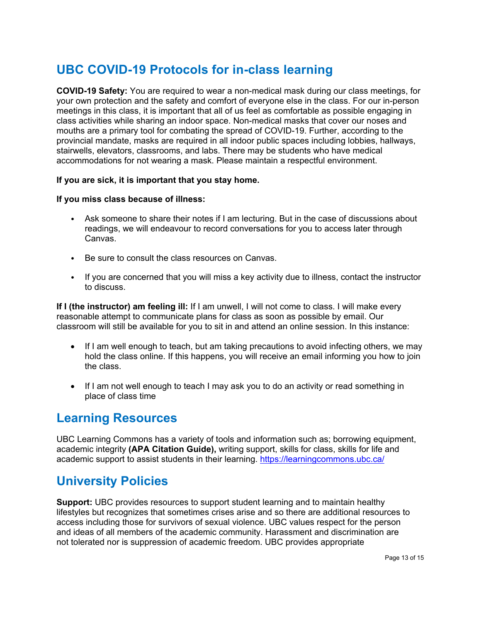## **UBC COVID-19 Protocols for in-class learning**

**COVID-19 Safety:** You are required to wear a non-medical mask during our class meetings, for your own protection and the safety and comfort of everyone else in the class. For our in-person meetings in this class, it is important that all of us feel as comfortable as possible engaging in class activities while sharing an indoor space. Non-medical masks that cover our noses and mouths are a primary tool for combating the spread of COVID-19. Further, according to the provincial mandate, masks are required in all indoor public spaces including lobbies, hallways, stairwells, elevators, classrooms, and labs. There may be students who have medical accommodations for not wearing a mask. Please maintain a respectful environment.

#### **If you are sick, it is important that you stay home.**

#### **If you miss class because of illness:**

- Ask someone to share their notes if I am lecturing. But in the case of discussions about readings, we will endeavour to record conversations for you to access later through Canvas.
- Be sure to consult the class resources on Canvas.
- If you are concerned that you will miss a key activity due to illness, contact the instructor to discuss.

**If I (the instructor) am feeling ill:** If I am unwell, I will not come to class. I will make every reasonable attempt to communicate plans for class as soon as possible by email. Our classroom will still be available for you to sit in and attend an online session. In this instance:

- If I am well enough to teach, but am taking precautions to avoid infecting others, we may hold the class online. If this happens, you will receive an email informing you how to join the class.
- If I am not well enough to teach I may ask you to do an activity or read something in place of class time

#### **Learning Resources**

UBC Learning Commons has a variety of tools and information such as; borrowing equipment, academic integrity **(APA Citation Guide),** writing support, skills for class, skills for life and academic support to assist students in their learning.<https://learningcommons.ubc.ca/>

#### **University Policies**

**Support:** UBC provides resources to support student learning and to maintain healthy lifestyles but recognizes that sometimes crises arise and so there are additional resources to access including those for survivors of sexual violence. UBC values respect for the person and ideas of all members of the academic community. Harassment and discrimination are not tolerated nor is suppression of academic freedom. UBC provides appropriate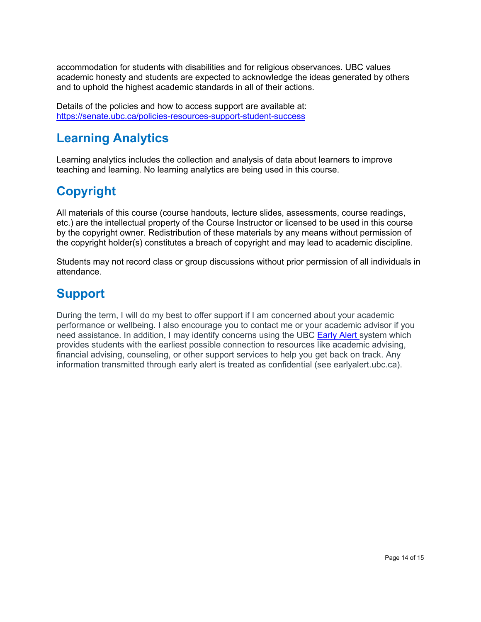accommodation for students with disabilities and for religious observances. UBC values academic honesty and students are expected to acknowledge the ideas generated by others and to uphold the highest academic standards in all of their actions.

Details of the policies and how to access support are available at: <https://senate.ubc.ca/policies-resources-support-student-success>

## **Learning Analytics**

Learning analytics includes the collection and analysis of data about learners to improve teaching and learning. No learning analytics are being used in this course.

# **Copyright**

All materials of this course (course handouts, lecture slides, assessments, course readings, etc.) are the intellectual property of the Course Instructor or licensed to be used in this course by the copyright owner. Redistribution of these materials by any means without permission of the copyright holder(s) constitutes a breach of copyright and may lead to academic discipline.

Students may not record class or group discussions without prior permission of all individuals in attendance.

# **Support**

During the term, I will do my best to offer support if I am concerned about your academic performance or wellbeing. I also encourage you to contact me or your academic advisor if you need assistance. In addition, I may identify concerns using the UBC [Early Alert](http://earlyalert.ubc.ca/) system which provides students with the earliest possible connection to resources like academic advising, financial advising, counseling, or other support services to help you get back on track. Any information transmitted through early alert is treated as confidential (see earlyalert.ubc.ca).